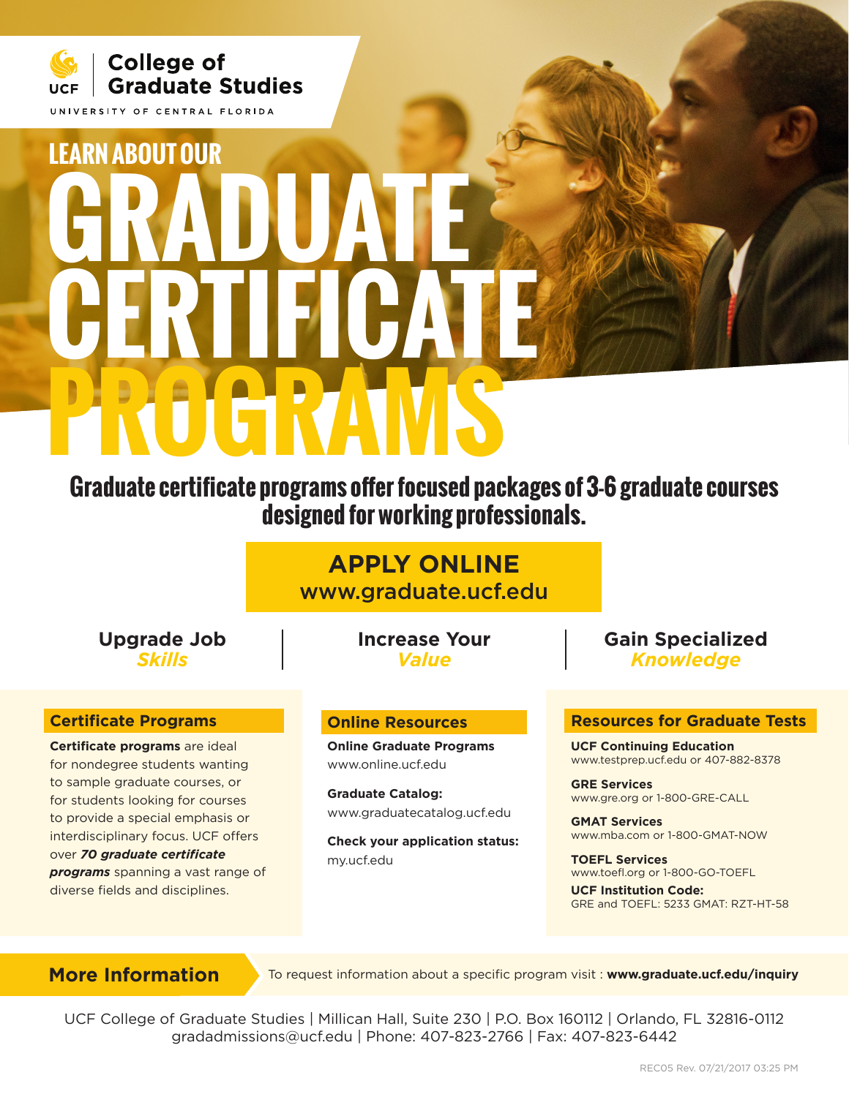

# **GRADUATE CERTIFICATE PROGRAMS LEARN ABOUT OUR**

**Graduate certificate programs offer focused packages of 3-6 graduate courses designed for working professionals.**

> **APPLY ONLINE** www.graduate.ucf.edu

**Upgrade Job** *Skills*

### **Certificate Programs**

**Certificate programs** are ideal for nondegree students wanting to sample graduate courses, or for students looking for courses to provide a special emphasis or interdisciplinary focus. UCF offers over *70 graduate certificate programs* spanning a vast range of diverse fields and disciplines.

**Increase Your** *Value*

### **Online Resources**

**Online Graduate Programs** www.online.ucf.edu

**Graduate Catalog:** www.graduatecatalog.ucf.edu

**Check your application status:** my.ucf.edu

## **Gain Specialized** *Knowledge*

#### **Resources for Graduate Tests**

**UCF Continuing Education** www.testprep.ucf.edu or 407-882-8378

**GRE Services**  www.gre.org or 1-800-GRE-CALL

**GMAT Services**  www.mba.com or 1-800-GMAT-NOW

**TOEFL Services**  www.toefl.org or 1-800-GO-TOEFL

**UCF Institution Code:**  GRE and TOEFL: 5233 GMAT: RZT-HT-58

**More Information To request information about a specific program visit : www.graduate.ucf.edu/inquiry** 

UCF College of Graduate Studies | Millican Hall, Suite 230 | P.O. Box 160112 | Orlando, FL 32816-0112 gradadmissions@ucf.edu | Phone: 407-823-2766 | Fax: 407-823-6442